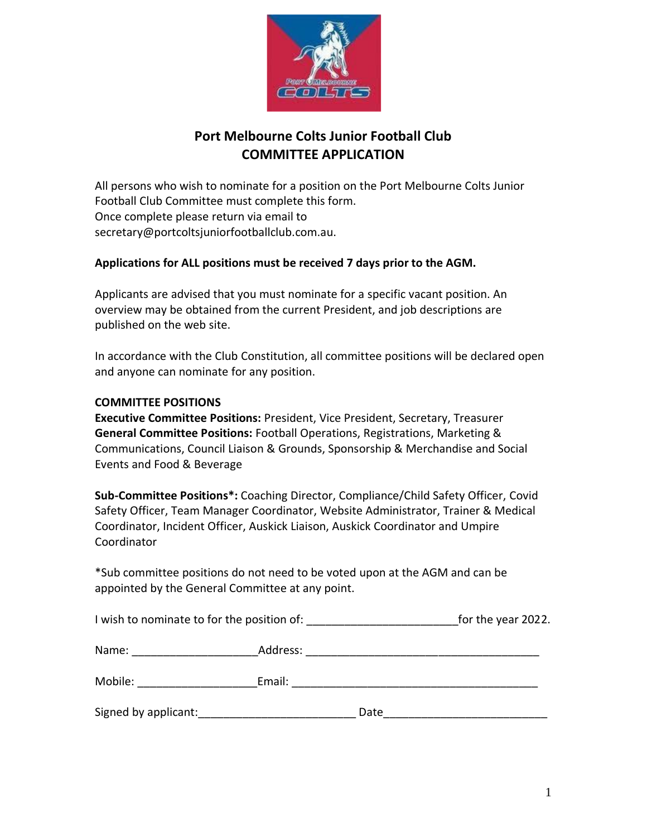

# **Port Melbourne Colts Junior Football Club COMMITTEE APPLICATION**

All persons who wish to nominate for a position on the Port Melbourne Colts Junior Football Club Committee must complete this form. Once complete please return via email to secretary@portcoltsjuniorfootballclub.com.au.

#### **Applications for ALL positions must be received 7 days prior to the AGM.**

Applicants are advised that you must nominate for a specific vacant position. An overview may be obtained from the current President, and job descriptions are published on the web site.

In accordance with the Club Constitution, all committee positions will be declared open and anyone can nominate for any position.

#### **COMMITTEE POSITIONS**

**Executive Committee Positions:** President, Vice President, Secretary, Treasurer **General Committee Positions:** Football Operations, Registrations, Marketing & Communications, Council Liaison & Grounds, Sponsorship & Merchandise and Social Events and Food & Beverage

**Sub-Committee Positions\*:** Coaching Director, Compliance/Child Safety Officer, Covid Safety Officer, Team Manager Coordinator, Website Administrator, Trainer & Medical Coordinator, Incident Officer, Auskick Liaison, Auskick Coordinator and Umpire Coordinator

\*Sub committee positions do not need to be voted upon at the AGM and can be appointed by the General Committee at any point.

| I wish to nominate to for the position of: | for the year 2022. |
|--------------------------------------------|--------------------|
|--------------------------------------------|--------------------|

| Name:                | Address: |
|----------------------|----------|
| Mobile:              | Email:   |
| Signed by applicant: | Date     |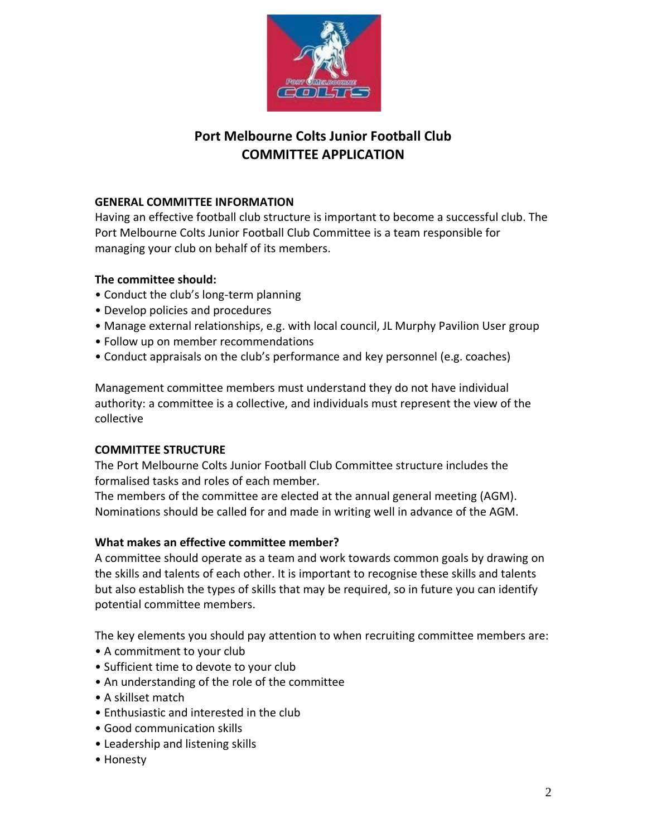

# **Port Melbourne Colts Junior Football Club COMMITTEE APPLICATION**

### **GENERAL COMMITTEE INFORMATION**

Having an effective football club structure is important to become a successful club. The Port Melbourne Colts Junior Football Club Committee is a team responsible for managing your club on behalf of its members.

## **The committee should:**

- Conduct the club's long-term planning
- Develop policies and procedures
- Manage external relationships, e.g. with local council, JL Murphy Pavilion User group
- Follow up on member recommendations
- Conduct appraisals on the club's performance and key personnel (e.g. coaches)

Management committee members must understand they do not have individual authority: a committee is a collective, and individuals must represent the view of the collective

### **COMMITTEE STRUCTURE**

The Port Melbourne Colts Junior Football Club Committee structure includes the formalised tasks and roles of each member.

The members of the committee are elected at the annual general meeting (AGM). Nominations should be called for and made in writing well in advance of the AGM.

### **What makes an effective committee member?**

A committee should operate as a team and work towards common goals by drawing on the skills and talents of each other. It is important to recognise these skills and talents but also establish the types of skills that may be required, so in future you can identify potential committee members.

The key elements you should pay attention to when recruiting committee members are:

- A commitment to your club
- Sufficient time to devote to your club
- An understanding of the role of the committee
- A skillset match
- Enthusiastic and interested in the club
- Good communication skills
- Leadership and listening skills
- Honesty